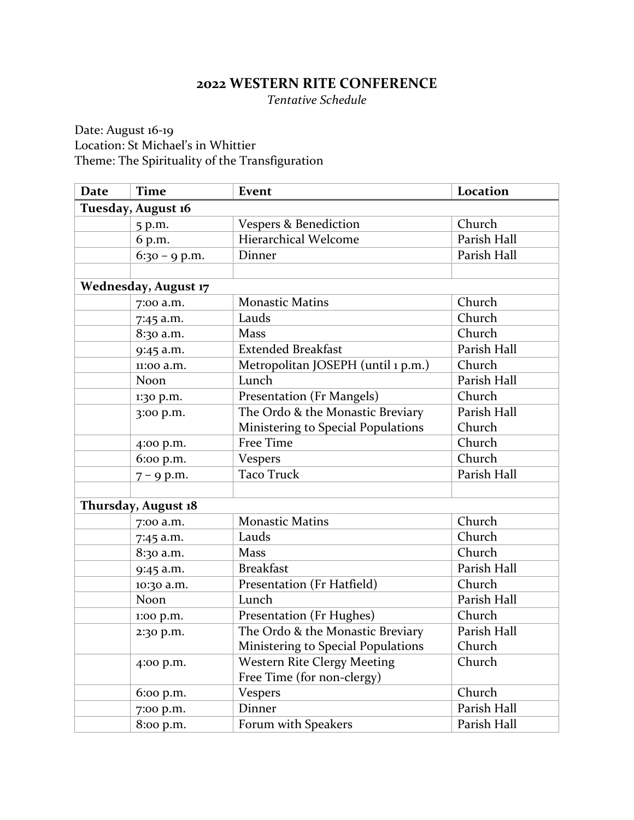## **2022 WESTERN RITE CONFERENCE**

*Tentative Schedule*

Date: August 16-19 Location: St Michael's in Whittier Theme: The Spirituality of the Transfiguration

| <b>Date</b>                 | <b>Time</b>        | Event                              | Location    |  |
|-----------------------------|--------------------|------------------------------------|-------------|--|
|                             | Tuesday, August 16 |                                    |             |  |
|                             | 5 p.m.             | Vespers & Benediction              | Church      |  |
|                             | 6 p.m.             | Hierarchical Welcome               | Parish Hall |  |
|                             | $6:30 - 9$ p.m.    | Dinner                             | Parish Hall |  |
|                             |                    |                                    |             |  |
| <b>Wednesday, August 17</b> |                    |                                    |             |  |
|                             | 7:00 a.m.          | <b>Monastic Matins</b>             | Church      |  |
|                             | 7:45 a.m.          | Lauds                              | Church      |  |
|                             | 8:30 a.m.          | <b>Mass</b>                        | Church      |  |
|                             | 9:45 a.m.          | <b>Extended Breakfast</b>          | Parish Hall |  |
|                             | 11:00 a.m.         | Metropolitan JOSEPH (until 1 p.m.) | Church      |  |
|                             | Noon               | Lunch                              | Parish Hall |  |
|                             | 1:30 p.m.          | Presentation (Fr Mangels)          | Church      |  |
|                             | 3:00 p.m.          | The Ordo & the Monastic Breviary   | Parish Hall |  |
|                             |                    | Ministering to Special Populations | Church      |  |
|                             | 4:00 p.m.          | Free Time                          | Church      |  |
|                             | 6:00 p.m.          | Vespers                            | Church      |  |
|                             | $7 - 9$ p.m.       | <b>Taco Truck</b>                  | Parish Hall |  |
|                             |                    |                                    |             |  |
| Thursday, August 18         |                    |                                    |             |  |
|                             | 7:00 a.m.          | <b>Monastic Matins</b>             | Church      |  |
|                             | 7:45 a.m.          | Lauds                              | Church      |  |
|                             | 8:30 a.m.          | <b>Mass</b>                        | Church      |  |
|                             | 9:45 a.m.          | <b>Breakfast</b>                   | Parish Hall |  |
|                             | 10:30 a.m.         | Presentation (Fr Hatfield)         | Church      |  |
|                             | Noon               | Lunch                              | Parish Hall |  |
|                             | 1:00 p.m.          | Presentation (Fr Hughes)           | Church      |  |
|                             | 2:30 p.m.          | The Ordo & the Monastic Breviary   | Parish Hall |  |
|                             |                    | Ministering to Special Populations | Church      |  |
|                             | 4:00 p.m.          | <b>Western Rite Clergy Meeting</b> | Church      |  |
|                             |                    | Free Time (for non-clergy)         |             |  |
|                             | 6:00 p.m.          | <b>Vespers</b>                     | Church      |  |
|                             | 7:00 p.m.          | Dinner                             | Parish Hall |  |
|                             | 8:00 p.m.          | Forum with Speakers                | Parish Hall |  |